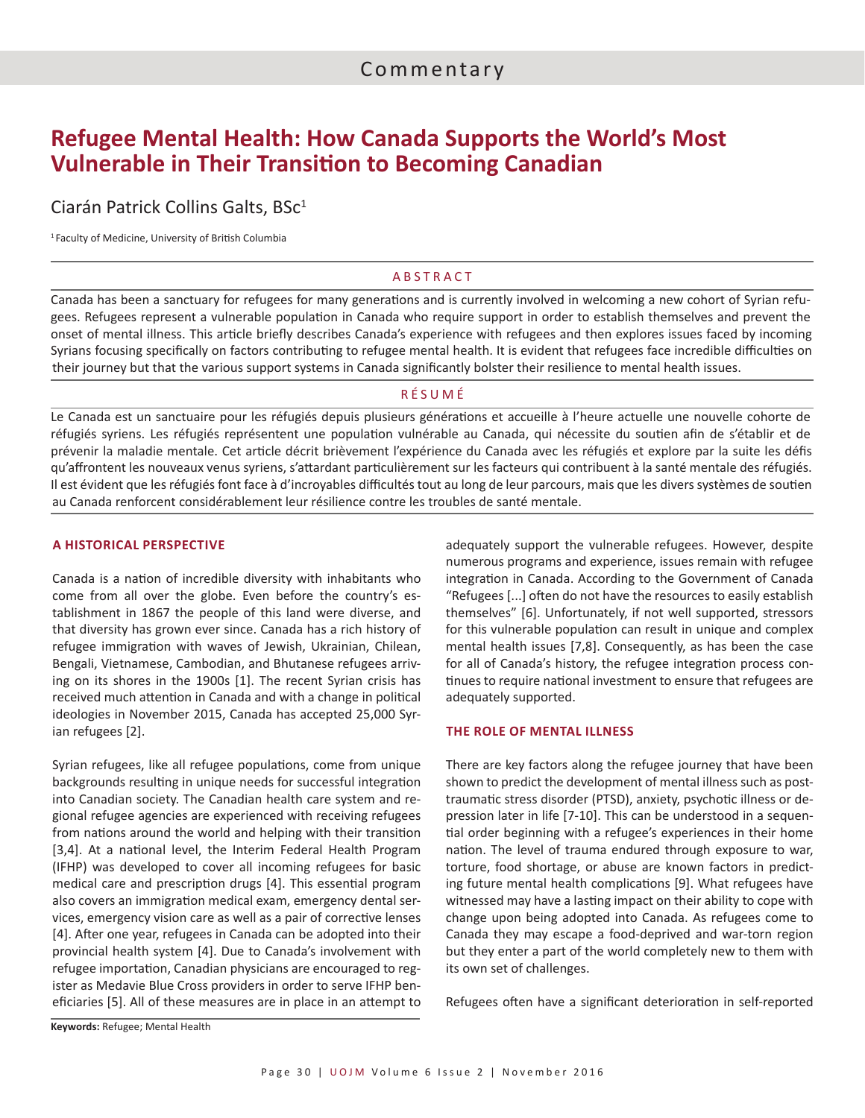# **Refugee Mental Health: How Canada Supports the World's Most Vulnerable in Their Transition to Becoming Canadian**

### Ciarán Patrick Collins Galts, BSc<sup>1</sup>

<sup>1</sup>Faculty of Medicine, University of British Columbia

### ABSTRACT

Canada has been a sanctuary for refugees for many generations and is currently involved in welcoming a new cohort of Syrian refugees. Refugees represent a vulnerable population in Canada who require support in order to establish themselves and prevent the onset of mental illness. This article briefly describes Canada's experience with refugees and then explores issues faced by incoming Syrians focusing specifically on factors contributing to refugee mental health. It is evident that refugees face incredible difficulties on their journey but that the various support systems in Canada significantly bolster their resilience to mental health issues.

### RÉSUMÉ

Le Canada est un sanctuaire pour les réfugiés depuis plusieurs générations et accueille à l'heure actuelle une nouvelle cohorte de réfugiés syriens. Les réfugiés représentent une population vulnérable au Canada, qui nécessite du soutien afin de s'établir et de prévenir la maladie mentale. Cet article décrit brièvement l'expérience du Canada avec les réfugiés et explore par la suite les défis qu'affrontent les nouveaux venus syriens, s'attardant particulièrement sur les facteurs qui contribuent à la santé mentale des réfugiés. Il est évident que les réfugiés font face à d'incroyables difficultés tout au long de leur parcours, mais que les divers systèmes de soutien au Canada renforcent considérablement leur résilience contre les troubles de santé mentale.

### **A HISTORICAL PERSPECTIVE**

Canada is a nation of incredible diversity with inhabitants who come from all over the globe. Even before the country's establishment in 1867 the people of this land were diverse, and that diversity has grown ever since. Canada has a rich history of refugee immigration with waves of Jewish, Ukrainian, Chilean, Bengali, Vietnamese, Cambodian, and Bhutanese refugees arriving on its shores in the 1900s [1]. The recent Syrian crisis has received much attention in Canada and with a change in political ideologies in November 2015, Canada has accepted 25,000 Syrian refugees [2].

Syrian refugees, like all refugee populations, come from unique backgrounds resulting in unique needs for successful integration into Canadian society. The Canadian health care system and regional refugee agencies are experienced with receiving refugees from nations around the world and helping with their transition [3,4]. At a national level, the Interim Federal Health Program (IFHP) was developed to cover all incoming refugees for basic medical care and prescription drugs [4]. This essential program also covers an immigration medical exam, emergency dental services, emergency vision care as well as a pair of corrective lenses [4]. After one year, refugees in Canada can be adopted into their provincial health system [4]. Due to Canada's involvement with refugee importation, Canadian physicians are encouraged to register as Medavie Blue Cross providers in order to serve IFHP beneficiaries [5]. All of these measures are in place in an attempt to

adequately support the vulnerable refugees. However, despite numerous programs and experience, issues remain with refugee integration in Canada. According to the Government of Canada "Refugees [...] often do not have the resources to easily establish themselves" [6]. Unfortunately, if not well supported, stressors for this vulnerable population can result in unique and complex mental health issues [7,8]. Consequently, as has been the case for all of Canada's history, the refugee integration process continues to require national investment to ensure that refugees are adequately supported.

### **THE ROLE OF MENTAL ILLNESS**

There are key factors along the refugee journey that have been shown to predict the development of mental illness such as posttraumatic stress disorder (PTSD), anxiety, psychotic illness or depression later in life [7-10]. This can be understood in a sequential order beginning with a refugee's experiences in their home nation. The level of trauma endured through exposure to war, torture, food shortage, or abuse are known factors in predicting future mental health complications [9]. What refugees have witnessed may have a lasting impact on their ability to cope with change upon being adopted into Canada. As refugees come to Canada they may escape a food-deprived and war-torn region but they enter a part of the world completely new to them with its own set of challenges.

Refugees often have a significant deterioration in self-reported

**Keywords:** Refugee; Mental Health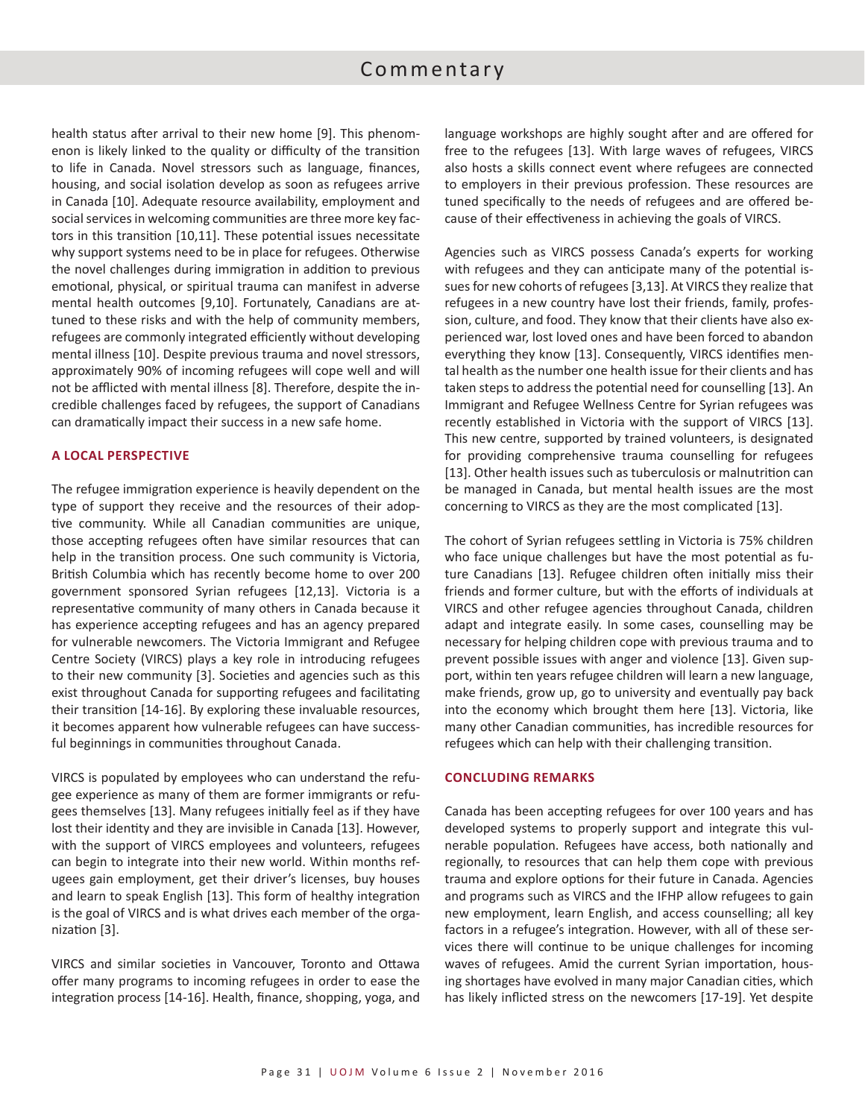### Commentary

health status after arrival to their new home [9]. This phenomenon is likely linked to the quality or difficulty of the transition to life in Canada. Novel stressors such as language, finances, housing, and social isolation develop as soon as refugees arrive in Canada [10]. Adequate resource availability, employment and social services in welcoming communities are three more key factors in this transition [10,11]. These potential issues necessitate why support systems need to be in place for refugees. Otherwise the novel challenges during immigration in addition to previous emotional, physical, or spiritual trauma can manifest in adverse mental health outcomes [9,10]. Fortunately, Canadians are attuned to these risks and with the help of community members, refugees are commonly integrated efficiently without developing mental illness [10]. Despite previous trauma and novel stressors, approximately 90% of incoming refugees will cope well and will not be afflicted with mental illness [8]. Therefore, despite the incredible challenges faced by refugees, the support of Canadians can dramatically impact their success in a new safe home.

### **A LOCAL PERSPECTIVE**

The refugee immigration experience is heavily dependent on the type of support they receive and the resources of their adoptive community. While all Canadian communities are unique, those accepting refugees often have similar resources that can help in the transition process. One such community is Victoria, British Columbia which has recently become home to over 200 government sponsored Syrian refugees [12,13]. Victoria is a representative community of many others in Canada because it has experience accepting refugees and has an agency prepared for vulnerable newcomers. The Victoria Immigrant and Refugee Centre Society (VIRCS) plays a key role in introducing refugees to their new community [3]. Societies and agencies such as this exist throughout Canada for supporting refugees and facilitating their transition [14-16]. By exploring these invaluable resources, it becomes apparent how vulnerable refugees can have successful beginnings in communities throughout Canada.

VIRCS is populated by employees who can understand the refugee experience as many of them are former immigrants or refugees themselves [13]. Many refugees initially feel as if they have lost their identity and they are invisible in Canada [13]. However, with the support of VIRCS employees and volunteers, refugees can begin to integrate into their new world. Within months refugees gain employment, get their driver's licenses, buy houses and learn to speak English [13]. This form of healthy integration is the goal of VIRCS and is what drives each member of the organization [3].

VIRCS and similar societies in Vancouver, Toronto and Ottawa offer many programs to incoming refugees in order to ease the integration process [14-16]. Health, finance, shopping, yoga, and language workshops are highly sought after and are offered for free to the refugees [13]. With large waves of refugees, VIRCS also hosts a skills connect event where refugees are connected to employers in their previous profession. These resources are tuned specifically to the needs of refugees and are offered because of their effectiveness in achieving the goals of VIRCS.

Agencies such as VIRCS possess Canada's experts for working with refugees and they can anticipate many of the potential issues for new cohorts of refugees [3,13]. At VIRCS they realize that refugees in a new country have lost their friends, family, profession, culture, and food. They know that their clients have also experienced war, lost loved ones and have been forced to abandon everything they know [13]. Consequently, VIRCS identifies mental health as the number one health issue for their clients and has taken steps to address the potential need for counselling [13]. An Immigrant and Refugee Wellness Centre for Syrian refugees was recently established in Victoria with the support of VIRCS [13]. This new centre, supported by trained volunteers, is designated for providing comprehensive trauma counselling for refugees [13]. Other health issues such as tuberculosis or malnutrition can be managed in Canada, but mental health issues are the most concerning to VIRCS as they are the most complicated [13].

The cohort of Syrian refugees settling in Victoria is 75% children who face unique challenges but have the most potential as future Canadians [13]. Refugee children often initially miss their friends and former culture, but with the efforts of individuals at VIRCS and other refugee agencies throughout Canada, children adapt and integrate easily. In some cases, counselling may be necessary for helping children cope with previous trauma and to prevent possible issues with anger and violence [13]. Given support, within ten years refugee children will learn a new language, make friends, grow up, go to university and eventually pay back into the economy which brought them here [13]. Victoria, like many other Canadian communities, has incredible resources for refugees which can help with their challenging transition.

#### **CONCLUDING REMARKS**

Canada has been accepting refugees for over 100 years and has developed systems to properly support and integrate this vulnerable population. Refugees have access, both nationally and regionally, to resources that can help them cope with previous trauma and explore options for their future in Canada. Agencies and programs such as VIRCS and the IFHP allow refugees to gain new employment, learn English, and access counselling; all key factors in a refugee's integration. However, with all of these services there will continue to be unique challenges for incoming waves of refugees. Amid the current Syrian importation, housing shortages have evolved in many major Canadian cities, which has likely inflicted stress on the newcomers [17-19]. Yet despite